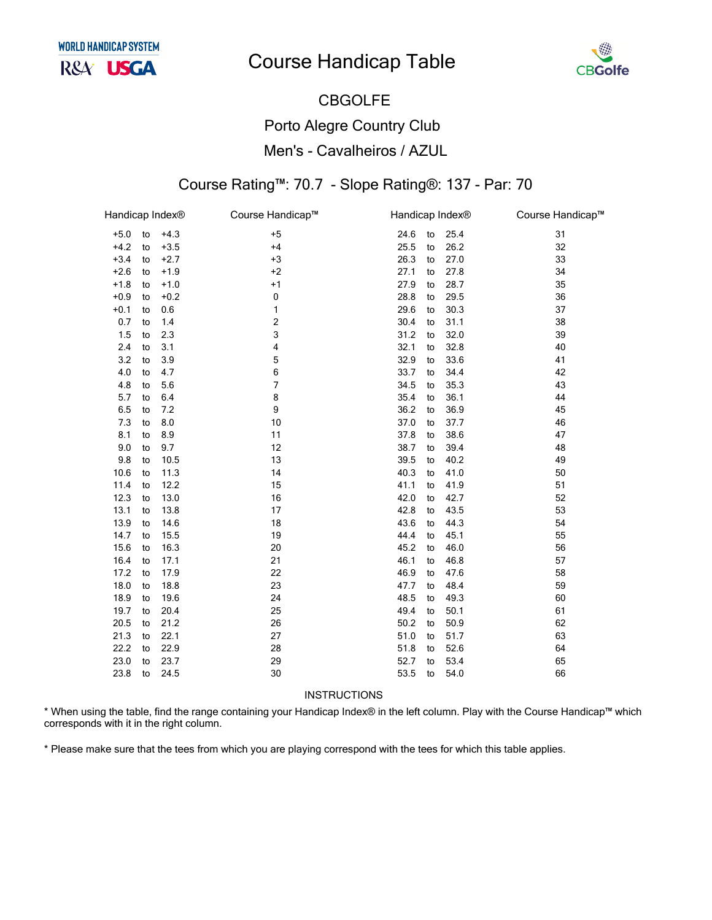

### **CBGOLFE Porto Alegre Country Club** Men's - Cavalheiros / AZUL

#### Course Rating™: 70.7 - Slope Rating®: 137 - Par: 70

|    |                            | Course Handicap™                                                                                                                                |                                                                                                                           |                                                                                                                                                              |      | Course Handicap™                                                                                                                                                |
|----|----------------------------|-------------------------------------------------------------------------------------------------------------------------------------------------|---------------------------------------------------------------------------------------------------------------------------|--------------------------------------------------------------------------------------------------------------------------------------------------------------|------|-----------------------------------------------------------------------------------------------------------------------------------------------------------------|
| to | $+4.3$                     | $+5$                                                                                                                                            | 24.6                                                                                                                      | to                                                                                                                                                           | 25.4 | 31                                                                                                                                                              |
| to | $+3.5$                     | $+4$                                                                                                                                            | 25.5                                                                                                                      | to                                                                                                                                                           | 26.2 | 32                                                                                                                                                              |
| to | $+2.7$                     | $+3$                                                                                                                                            | 26.3                                                                                                                      | to                                                                                                                                                           | 27.0 | 33                                                                                                                                                              |
| to | $+1.9$                     | $+2$                                                                                                                                            | 27.1                                                                                                                      | to                                                                                                                                                           | 27.8 | 34                                                                                                                                                              |
| to | $+1.0$                     | $+1$                                                                                                                                            | 27.9                                                                                                                      | to                                                                                                                                                           | 28.7 | 35                                                                                                                                                              |
| to | $+0.2$                     | 0                                                                                                                                               | 28.8                                                                                                                      | to                                                                                                                                                           | 29.5 | 36                                                                                                                                                              |
| to | 0.6                        | 1                                                                                                                                               | 29.6                                                                                                                      | to                                                                                                                                                           | 30.3 | 37                                                                                                                                                              |
| to | 1.4                        | $\mathbf 2$                                                                                                                                     | 30.4                                                                                                                      | to                                                                                                                                                           | 31.1 | 38                                                                                                                                                              |
| to | 2.3                        | 3                                                                                                                                               | 31.2                                                                                                                      | to                                                                                                                                                           | 32.0 | 39                                                                                                                                                              |
| to | 3.1                        | 4                                                                                                                                               | 32.1                                                                                                                      | to                                                                                                                                                           | 32.8 | 40                                                                                                                                                              |
| to | 3.9                        | 5                                                                                                                                               |                                                                                                                           | to                                                                                                                                                           | 33.6 | 41                                                                                                                                                              |
| to | 4.7                        | 6                                                                                                                                               | 33.7                                                                                                                      | to                                                                                                                                                           | 34.4 | 42                                                                                                                                                              |
| to | 5.6                        |                                                                                                                                                 | 34.5                                                                                                                      | to                                                                                                                                                           | 35.3 | 43                                                                                                                                                              |
| to | 6.4                        | 8                                                                                                                                               | 35.4                                                                                                                      | to                                                                                                                                                           | 36.1 | 44                                                                                                                                                              |
| to | 7.2                        | 9                                                                                                                                               | 36.2                                                                                                                      | to                                                                                                                                                           | 36.9 | 45                                                                                                                                                              |
| to | 8.0                        | 10                                                                                                                                              | 37.0                                                                                                                      | to                                                                                                                                                           | 37.7 | 46                                                                                                                                                              |
| to | 8.9                        |                                                                                                                                                 | 37.8                                                                                                                      | to                                                                                                                                                           | 38.6 | 47                                                                                                                                                              |
| to | 9.7                        |                                                                                                                                                 |                                                                                                                           | to                                                                                                                                                           | 39.4 | 48                                                                                                                                                              |
| to | 10.5                       |                                                                                                                                                 |                                                                                                                           | to                                                                                                                                                           |      | 49                                                                                                                                                              |
| to |                            |                                                                                                                                                 |                                                                                                                           | to                                                                                                                                                           |      | 50                                                                                                                                                              |
| to | 12.2                       |                                                                                                                                                 |                                                                                                                           | to                                                                                                                                                           |      | 51                                                                                                                                                              |
| to |                            |                                                                                                                                                 |                                                                                                                           | to                                                                                                                                                           |      | 52                                                                                                                                                              |
| to |                            |                                                                                                                                                 |                                                                                                                           | to                                                                                                                                                           |      | 53                                                                                                                                                              |
| to |                            |                                                                                                                                                 |                                                                                                                           | to                                                                                                                                                           |      | 54                                                                                                                                                              |
| to |                            |                                                                                                                                                 |                                                                                                                           | to                                                                                                                                                           |      | 55                                                                                                                                                              |
| to |                            |                                                                                                                                                 |                                                                                                                           | to                                                                                                                                                           |      | 56                                                                                                                                                              |
|    |                            |                                                                                                                                                 |                                                                                                                           | to                                                                                                                                                           |      | 57                                                                                                                                                              |
|    |                            |                                                                                                                                                 |                                                                                                                           | to                                                                                                                                                           |      | 58                                                                                                                                                              |
| to |                            |                                                                                                                                                 |                                                                                                                           | to                                                                                                                                                           |      | 59                                                                                                                                                              |
|    |                            |                                                                                                                                                 |                                                                                                                           | to                                                                                                                                                           |      | 60                                                                                                                                                              |
|    |                            |                                                                                                                                                 |                                                                                                                           | to                                                                                                                                                           |      | 61                                                                                                                                                              |
|    |                            |                                                                                                                                                 |                                                                                                                           |                                                                                                                                                              |      | 62                                                                                                                                                              |
| to |                            |                                                                                                                                                 |                                                                                                                           | to                                                                                                                                                           |      | 63                                                                                                                                                              |
| to |                            |                                                                                                                                                 |                                                                                                                           | to                                                                                                                                                           |      | 64                                                                                                                                                              |
| to |                            |                                                                                                                                                 |                                                                                                                           | to                                                                                                                                                           |      | 65                                                                                                                                                              |
| to |                            |                                                                                                                                                 |                                                                                                                           | to                                                                                                                                                           |      | 66                                                                                                                                                              |
|    | to<br>to<br>to<br>to<br>to | Handicap Index®<br>11.3<br>13.0<br>13.8<br>14.6<br>15.5<br>16.3<br>17.1<br>17.9<br>18.8<br>19.6<br>20.4<br>21.2<br>22.1<br>22.9<br>23.7<br>24.5 | 7<br>11<br>12<br>13<br>14<br>15<br>16<br>17<br>18<br>19<br>20<br>21<br>22<br>23<br>24<br>25<br>26<br>27<br>28<br>29<br>30 | 32.9<br>38.7<br>39.5<br>40.3<br>41.1<br>42.0<br>42.8<br>43.6<br>44.4<br>45.2<br>46.1<br>46.9<br>47.7<br>48.5<br>49.4<br>50.2<br>51.0<br>51.8<br>52.7<br>53.5 | to   | Handicap Index®<br>40.2<br>41.0<br>41.9<br>42.7<br>43.5<br>44.3<br>45.1<br>46.0<br>46.8<br>47.6<br>48.4<br>49.3<br>50.1<br>50.9<br>51.7<br>52.6<br>53.4<br>54.0 |

#### INSTRUCTIONS

\* When using the table, find the range containing your Handicap Index® in the left column. Play with the Course Handicap™ which corresponds with it in the right column.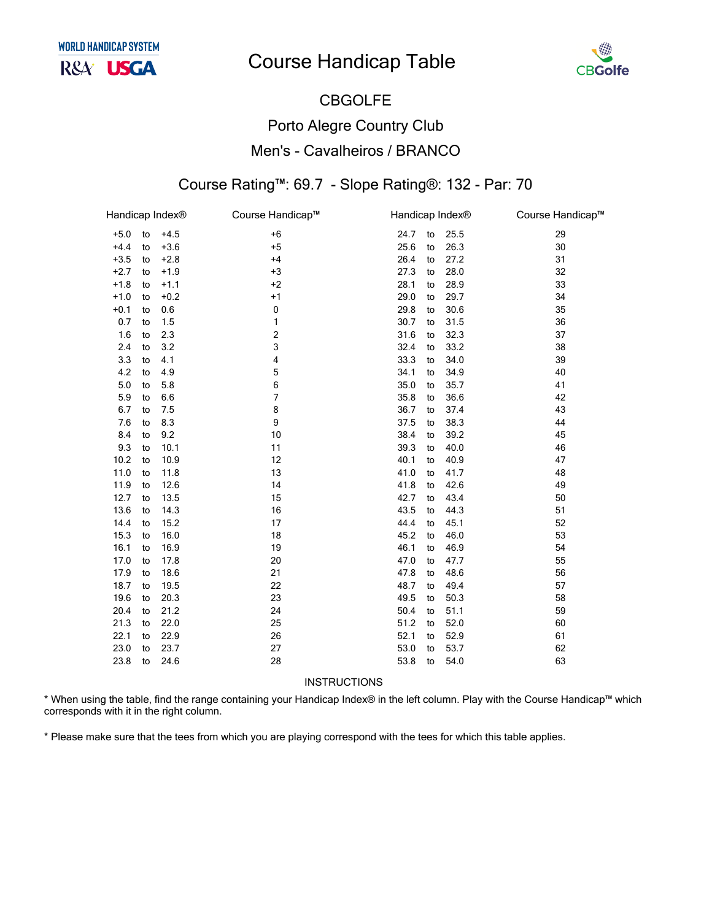

## CBGOLFE Porto Alegre Country Club Men's - Cavalheiros / BRANCO

#### Course Rating™: 69.7 - Slope Rating®: 132 - Par: 70

| Handicap Index <sup>®</sup> |    |        | Course Handicap™ | Handicap Index® |    |      | Course Handicap™ |
|-----------------------------|----|--------|------------------|-----------------|----|------|------------------|
| $+5.0$                      | to | $+4.5$ | $+6$             | 24.7            | to | 25.5 | 29               |
| $+4.4$                      | to | $+3.6$ | $+5$             | 25.6            | to | 26.3 | 30               |
| $+3.5$                      | to | $+2.8$ | $+4$             | 26.4            | to | 27.2 | 31               |
| $+2.7$                      | to | $+1.9$ | $+3$             | 27.3            | to | 28.0 | 32               |
| $+1.8$                      | to | $+1.1$ | $+2$             | 28.1            | to | 28.9 | 33               |
| $+1.0$                      | to | $+0.2$ | $+1$             | 29.0            | to | 29.7 | 34               |
| $+0.1$                      | to | 0.6    | 0                | 29.8            | to | 30.6 | 35               |
| 0.7                         | to | 1.5    | 1                | 30.7            | to | 31.5 | 36               |
| 1.6                         | to | 2.3    | 2                | 31.6            | to | 32.3 | 37               |
| 2.4                         | to | 3.2    | 3                | 32.4            | to | 33.2 | 38               |
| 3.3                         | to | 4.1    | 4                | 33.3            | to | 34.0 | 39               |
| 4.2                         | to | 4.9    | 5                | 34.1            | to | 34.9 | 40               |
| 5.0                         | to | 5.8    | 6                | 35.0            | to | 35.7 | 41               |
| 5.9                         | to | 6.6    | 7                | 35.8            | to | 36.6 | 42               |
| 6.7                         | to | 7.5    | 8                | 36.7            | to | 37.4 | 43               |
| 7.6                         | to | 8.3    | 9                | 37.5            | to | 38.3 | 44               |
| 8.4                         | to | 9.2    | 10               | 38.4            | to | 39.2 | 45               |
| 9.3                         | to | 10.1   | 11               | 39.3            | to | 40.0 | 46               |
| 10.2                        | to | 10.9   | 12               | 40.1            | to | 40.9 | 47               |
| 11.0                        | to | 11.8   | 13               | 41.0            | to | 41.7 | 48               |
| 11.9                        | to | 12.6   | 14               | 41.8            | to | 42.6 | 49               |
| 12.7                        | to | 13.5   | 15               | 42.7            | to | 43.4 | 50               |
| 13.6                        | to | 14.3   | 16               | 43.5            | to | 44.3 | 51               |
| 14.4                        | to | 15.2   | 17               | 44.4            | to | 45.1 | 52               |
| 15.3                        | to | 16.0   | 18               | 45.2            | to | 46.0 | 53               |
| 16.1                        | to | 16.9   | 19               | 46.1            | to | 46.9 | 54               |
| 17.0                        | to | 17.8   | 20               | 47.0            | to | 47.7 | 55               |
| 17.9                        | to | 18.6   | 21               | 47.8            | to | 48.6 | 56               |
| 18.7                        | to | 19.5   | 22               | 48.7            | to | 49.4 | 57               |
| 19.6                        | to | 20.3   | 23               | 49.5            | to | 50.3 | 58               |
| 20.4                        | to | 21.2   | 24               | 50.4            | to | 51.1 | 59               |
| 21.3                        | to | 22.0   | 25               | 51.2            | to | 52.0 | 60               |
| 22.1                        | to | 22.9   | 26               | 52.1            | to | 52.9 | 61               |
| 23.0                        | to | 23.7   | 27               | 53.0            | to | 53.7 | 62               |
| 23.8                        | to | 24.6   | 28               | 53.8            | to | 54.0 | 63               |

INSTRUCTIONS

\* When using the table, find the range containing your Handicap Index® in the left column. Play with the Course Handicap™ which corresponds with it in the right column.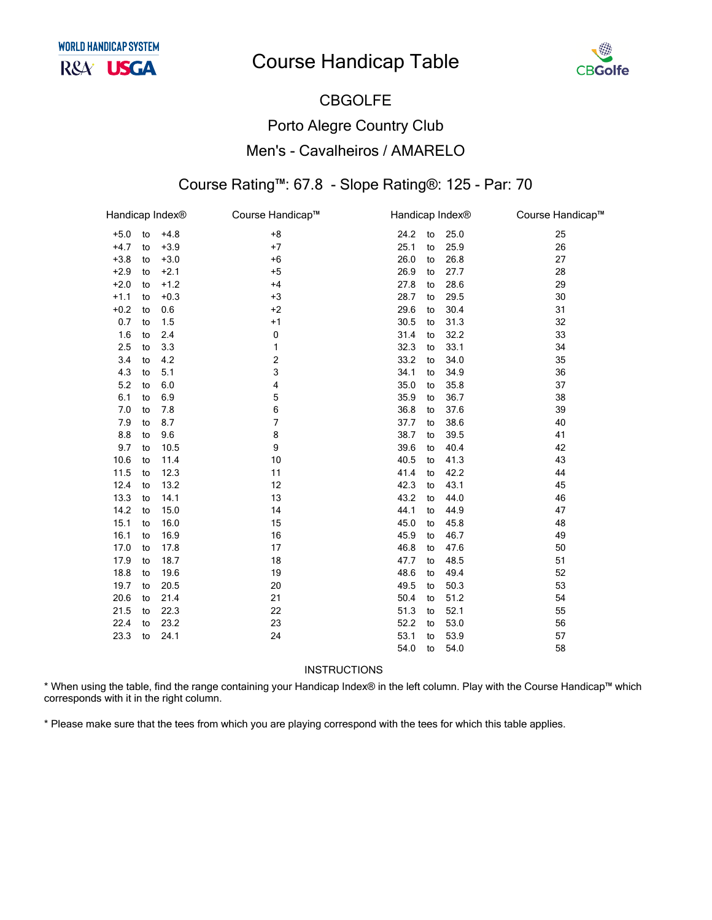

# CBGOLFE Porto Alegre Country Club Men's - Cavalheiros / AMARELO

#### Course Rating™: 67.8 - Slope Rating®: 125 - Par: 70

|        |    | Handicap Index® | Course Handicap™ | Handicap Index® |    |      | Course Handicap™ |
|--------|----|-----------------|------------------|-----------------|----|------|------------------|
| $+5.0$ | to | $+4.8$          | $+8$             | 24.2            | to | 25.0 | 25               |
| $+4.7$ | to | $+3.9$          | $+7$             | 25.1            | to | 25.9 | 26               |
| $+3.8$ | to | $+3.0$          | $+6$             | 26.0            | to | 26.8 | 27               |
| $+2.9$ | to | $+2.1$          | $+5$             | 26.9            | to | 27.7 | 28               |
| $+2.0$ | to | $+1.2$          | $+4$             | 27.8            | to | 28.6 | 29               |
| $+1.1$ | to | $+0.3$          | $+3$             | 28.7            | to | 29.5 | 30               |
| $+0.2$ | to | 0.6             | $+2$             | 29.6            | to | 30.4 | 31               |
| 0.7    | to | 1.5             | $+1$             | 30.5            | to | 31.3 | 32               |
| 1.6    | to | 2.4             | 0                | 31.4            | to | 32.2 | 33               |
| 2.5    | to | 3.3             | 1                | 32.3            | to | 33.1 | 34               |
| 3.4    | to | 4.2             | 2                | 33.2            | to | 34.0 | 35               |
| 4.3    | to | 5.1             | 3                | 34.1            | to | 34.9 | 36               |
| 5.2    | to | 6.0             | 4                | 35.0            | to | 35.8 | 37               |
| 6.1    | to | 6.9             | 5                | 35.9            | to | 36.7 | 38               |
| 7.0    | to | 7.8             | 6                | 36.8            | to | 37.6 | 39               |
| 7.9    | to | 8.7             | 7                | 37.7            | to | 38.6 | 40               |
| 8.8    | to | 9.6             | 8                | 38.7            | to | 39.5 | 41               |
| 9.7    | to | 10.5            | 9                | 39.6            | to | 40.4 | 42               |
| 10.6   | to | 11.4            | 10               | 40.5            | to | 41.3 | 43               |
| 11.5   | to | 12.3            | 11               | 41.4            | to | 42.2 | 44               |
| 12.4   | to | 13.2            | 12               | 42.3            | to | 43.1 | 45               |
| 13.3   | to | 14.1            | 13               | 43.2            | to | 44.0 | 46               |
| 14.2   | to | 15.0            | 14               | 44.1            | to | 44.9 | 47               |
| 15.1   | to | 16.0            | 15               | 45.0            | to | 45.8 | 48               |
| 16.1   | to | 16.9            | 16               | 45.9            | to | 46.7 | 49               |
| 17.0   | to | 17.8            | 17               | 46.8            | to | 47.6 | 50               |
| 17.9   | to | 18.7            | 18               | 47.7            | to | 48.5 | 51               |
| 18.8   | to | 19.6            | 19               | 48.6            | to | 49.4 | 52               |
| 19.7   | to | 20.5            | 20               | 49.5            | to | 50.3 | 53               |
| 20.6   | to | 21.4            | 21               | 50.4            | to | 51.2 | 54               |
| 21.5   | to | 22.3            | 22               | 51.3            | to | 52.1 | 55               |
| 22.4   | to | 23.2            | 23               | 52.2            | to | 53.0 | 56               |
| 23.3   | to | 24.1            | 24               | 53.1            | to | 53.9 | 57               |
|        |    |                 |                  | 54.0            | to | 54.0 | 58               |

**INSTRUCTIONS** 

\* When using the table, find the range containing your Handicap Index® in the left column. Play with the Course Handicap™ which corresponds with it in the right column.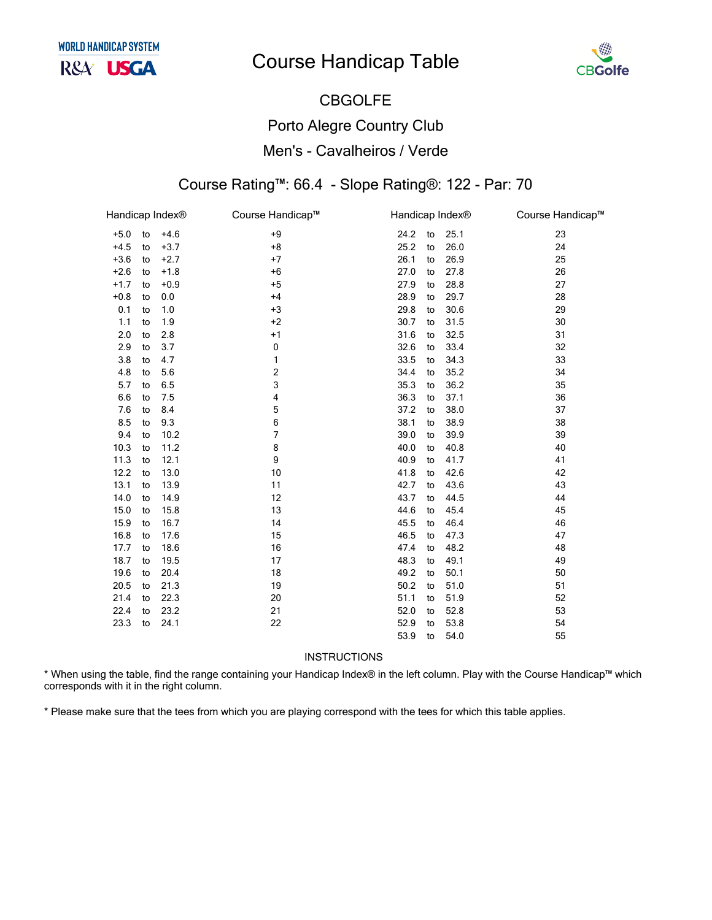

# CBGOLFE Porto Alegre Country Club Men's - Cavalheiros / Verde

#### Course Rating™: 66.4 - Slope Rating®: 122 - Par: 70

|        |    | Handicap Index® | Course Handicap™ | Handicap Index® |    |      | Course Handicap™ |
|--------|----|-----------------|------------------|-----------------|----|------|------------------|
| $+5.0$ | to | $+4.6$          | $+9$             | 24.2            | to | 25.1 | 23               |
| $+4.5$ | to | $+3.7$          | $+8$             | 25.2            | to | 26.0 | 24               |
| $+3.6$ | to | $+2.7$          | $+7$             | 26.1            | to | 26.9 | 25               |
| $+2.6$ | to | $+1.8$          | $+6$             | 27.0            | to | 27.8 | 26               |
| $+1.7$ | to | $+0.9$          | $+5$             | 27.9            | to | 28.8 | 27               |
| $+0.8$ | to | 0.0             | $+4$             | 28.9            | to | 29.7 | 28               |
| 0.1    | to | 1.0             | $+3$             | 29.8            | to | 30.6 | 29               |
| 1.1    | to | 1.9             | $+2$             | 30.7            | to | 31.5 | 30               |
| 2.0    | to | 2.8             | $+1$             | 31.6            | to | 32.5 | 31               |
| 2.9    | to | 3.7             | $\pmb{0}$        | 32.6            | to | 33.4 | 32               |
| 3.8    | to | 4.7             | 1                | 33.5            | to | 34.3 | 33               |
| 4.8    | to | 5.6             | $\overline{c}$   | 34.4            | to | 35.2 | 34               |
| 5.7    | to | 6.5             | 3                | 35.3            | to | 36.2 | 35               |
| 6.6    | to | 7.5             | 4                | 36.3            | to | 37.1 | 36               |
| 7.6    | to | 8.4             | 5                | 37.2            | to | 38.0 | 37               |
| 8.5    | to | 9.3             | 6                | 38.1            | to | 38.9 | 38               |
| 9.4    | to | 10.2            | 7                | 39.0            | to | 39.9 | 39               |
| 10.3   | to | 11.2            | 8                | 40.0            | to | 40.8 | 40               |
| 11.3   | to | 12.1            | 9                | 40.9            | to | 41.7 | 41               |
| 12.2   | to | 13.0            | 10               | 41.8            | to | 42.6 | 42               |
| 13.1   | to | 13.9            | 11               | 42.7            | to | 43.6 | 43               |
| 14.0   | to | 14.9            | 12               | 43.7            | to | 44.5 | 44               |
| 15.0   | to | 15.8            | 13               | 44.6            | to | 45.4 | 45               |
| 15.9   | to | 16.7            | 14               | 45.5            | to | 46.4 | 46               |
| 16.8   | to | 17.6            | 15               | 46.5            | to | 47.3 | 47               |
| 17.7   | to | 18.6            | 16               | 47.4            | to | 48.2 | 48               |
| 18.7   | to | 19.5            | 17               | 48.3            | to | 49.1 | 49               |
| 19.6   | to | 20.4            | 18               | 49.2            | to | 50.1 | 50               |
| 20.5   | to | 21.3            | 19               | 50.2            | to | 51.0 | 51               |
| 21.4   | to | 22.3            | 20               | 51.1            | to | 51.9 | 52               |
| 22.4   | to | 23.2            | 21               | 52.0            | to | 52.8 | 53               |
| 23.3   | to | 24.1            | 22               | 52.9            | to | 53.8 | 54               |
|        |    |                 |                  | 53.9            | to | 54.0 | 55               |

INSTRUCTIONS

\* When using the table, find the range containing your Handicap Index® in the left column. Play with the Course Handicap™ which corresponds with it in the right column.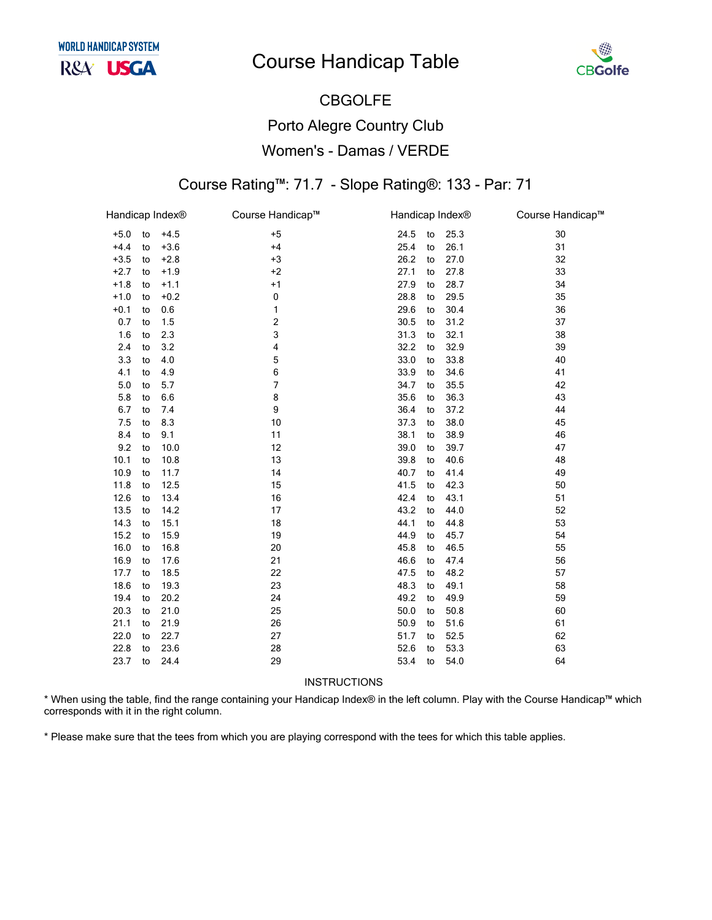

## CBGOLFE Porto Alegre Country Club Women's - Damas / VERDE

#### Course Rating™: 71.7 - Slope Rating®: 133 - Par: 71

|        |    | Handicap Index® | Course Handicap™ | Handicap Index® |    |      | Course Handicap™ |
|--------|----|-----------------|------------------|-----------------|----|------|------------------|
| $+5.0$ | to | $+4.5$          | $+5$             | 24.5            | to | 25.3 | 30               |
| $+4.4$ | to | $+3.6$          | $+4$             | 25.4            | to | 26.1 | 31               |
| $+3.5$ | to | $+2.8$          | $+3$             | 26.2            | to | 27.0 | 32               |
| $+2.7$ | to | $+1.9$          | $+2$             | 27.1            | to | 27.8 | 33               |
| $+1.8$ | to | $+1.1$          | $+1$             | 27.9            | to | 28.7 | 34               |
| $+1.0$ | to | $+0.2$          | 0                | 28.8            | to | 29.5 | 35               |
| $+0.1$ | to | 0.6             | 1                | 29.6            | to | 30.4 | 36               |
| 0.7    | to | 1.5             | 2                | 30.5            | to | 31.2 | 37               |
| 1.6    | to | 2.3             | 3                | 31.3            | to | 32.1 | 38               |
| 2.4    | to | 3.2             | 4                | 32.2            | to | 32.9 | 39               |
| 3.3    | to | 4.0             | 5                | 33.0            | to | 33.8 | 40               |
| 4.1    | to | 4.9             | 6                | 33.9            | to | 34.6 | 41               |
| 5.0    | to | 5.7             | 7                | 34.7            | to | 35.5 | 42               |
| 5.8    | to | 6.6             | 8                | 35.6            | to | 36.3 | 43               |
| 6.7    | to | 7.4             | 9                | 36.4            | to | 37.2 | 44               |
| 7.5    | to | 8.3             | 10               | 37.3            | to | 38.0 | 45               |
| 8.4    | to | 9.1             | 11               | 38.1            | to | 38.9 | 46               |
| 9.2    | to | 10.0            | 12               | 39.0            | to | 39.7 | 47               |
| 10.1   | to | 10.8            | 13               | 39.8            | to | 40.6 | 48               |
| 10.9   | to | 11.7            | 14               | 40.7            | to | 41.4 | 49               |
| 11.8   | to | 12.5            | 15               | 41.5            | to | 42.3 | 50               |
| 12.6   | to | 13.4            | 16               | 42.4            | to | 43.1 | 51               |
| 13.5   | to | 14.2            | 17               | 43.2            | to | 44.0 | 52               |
| 14.3   | to | 15.1            | 18               | 44.1            | to | 44.8 | 53               |
| 15.2   | to | 15.9            | 19               | 44.9            | to | 45.7 | 54               |
| 16.0   | to | 16.8            | 20               | 45.8            | to | 46.5 | 55               |
| 16.9   | to | 17.6            | 21               | 46.6            | to | 47.4 | 56               |
| 17.7   | to | 18.5            | 22               | 47.5            | to | 48.2 | 57               |
| 18.6   | to | 19.3            | 23               | 48.3            | to | 49.1 | 58               |
| 19.4   | to | 20.2            | 24               | 49.2            | to | 49.9 | 59               |
| 20.3   | to | 21.0            | 25               | 50.0            | to | 50.8 | 60               |
| 21.1   | to | 21.9            | 26               | 50.9            | to | 51.6 | 61               |
| 22.0   | to | 22.7            | 27               | 51.7            | to | 52.5 | 62               |
| 22.8   | to | 23.6            | 28               | 52.6            | to | 53.3 | 63               |
| 23.7   | to | 24.4            | 29               | 53.4            | to | 54.0 | 64               |

INSTRUCTIONS

\* When using the table, find the range containing your Handicap Index® in the left column. Play with the Course Handicap™ which corresponds with it in the right column.